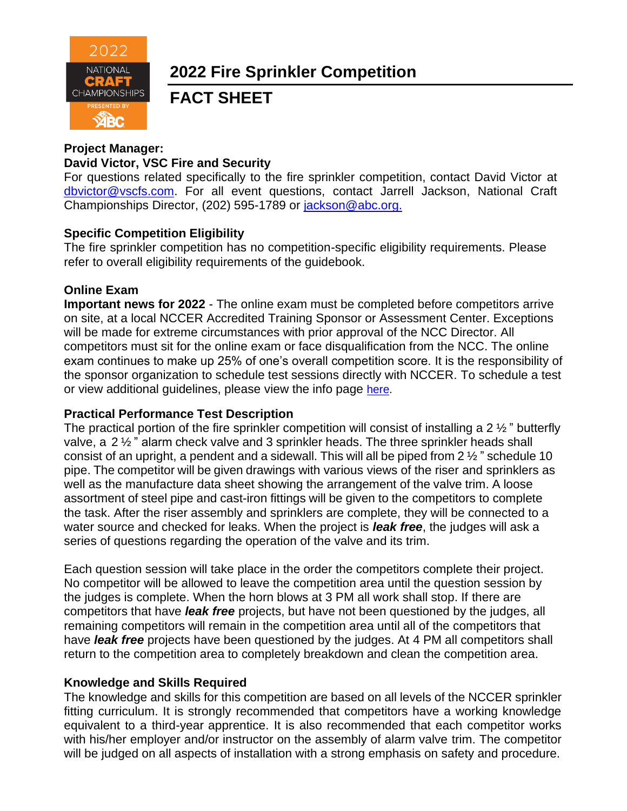

# **2022 Fire Sprinkler Competition**

# **FACT SHEET**

# **Project Manager:**

#### **David Victor, VSC Fire and Security**

For questions related specifically to the fire sprinkler competition, contact David Victor at [dbvictor@vscfs.com.](mailto:dbvictor@vscfs.com) For all event questions, contact Jarrell Jackson, National Craft Championships Director, (202) 595-1789 or [jackson@abc.org.](mailto:jackson@abc.org.)

# **Specific Competition Eligibility**

The fire sprinkler competition has no competition-specific eligibility requirements. Please refer to overall eligibility requirements of the guidebook.

# **Online Exam**

**Important news for 2022** - The online exam must be completed before competitors arrive on site, at a local NCCER Accredited Training Sponsor or Assessment Center. Exceptions will be made for extreme circumstances with prior approval of the NCC Director. All competitors must sit for the online exam or face disqualification from the NCC. The online exam continues to make up 25% of one's overall competition score. It is the responsibility of the sponsor organization to schedule test sessions directly with NCCER. To schedule a test or view additional guidelines, please view the info page [here.](https://abc.org/Portals/1/NCC/National%20Craft%20Championship%20Testing%20Overview%20and%20Registration.pdf?ver=2022-01-31-154655-600)

#### **Practical Performance Test Description**

The practical portion of the fire sprinkler competition will consist of installing a 2 ½ " butterfly valve, a 2 ½ " alarm check valve and 3 sprinkler heads. The three sprinkler heads shall consist of an upright, a pendent and a sidewall. This will all be piped from 2 ½ " schedule 10 pipe. The competitor will be given drawings with various views of the riser and sprinklers as well as the manufacture data sheet showing the arrangement of the valve trim. A loose assortment of steel pipe and cast-iron fittings will be given to the competitors to complete the task. After the riser assembly and sprinklers are complete, they will be connected to a water source and checked for leaks. When the project is *leak free*, the judges will ask a series of questions regarding the operation of the valve and its trim.

Each question session will take place in the order the competitors complete their project. No competitor will be allowed to leave the competition area until the question session by the judges is complete. When the horn blows at 3 PM all work shall stop. If there are competitors that have *leak free* projects, but have not been questioned by the judges, all remaining competitors will remain in the competition area until all of the competitors that have *leak free* projects have been questioned by the judges. At 4 PM all competitors shall return to the competition area to completely breakdown and clean the competition area.

#### **Knowledge and Skills Required**

The knowledge and skills for this competition are based on all levels of the NCCER sprinkler fitting curriculum. It is strongly recommended that competitors have a working knowledge equivalent to a third-year apprentice. It is also recommended that each competitor works with his/her employer and/or instructor on the assembly of alarm valve trim. The competitor will be judged on all aspects of installation with a strong emphasis on safety and procedure.